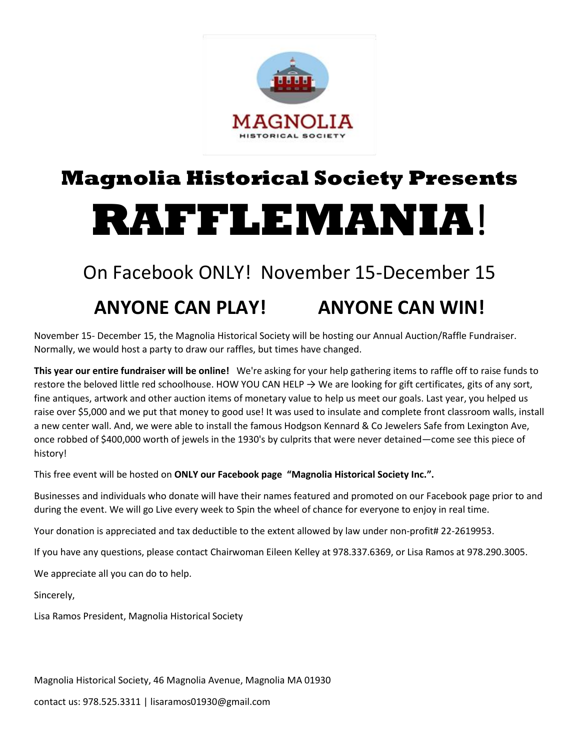

## **Magnolia Historical Society Presents RAFFLEMANIA**!

## On Facebook ONLY! November 15-December 15

### **ANYONE CAN PLAY! ANYONE CAN WIN!**

November 15- December 15, the Magnolia Historical Society will be hosting our Annual Auction/Raffle Fundraiser. Normally, we would host a party to draw our raffles, but times have changed.

**This year our entire fundraiser will be online!** We're asking for your help gathering items to raffle off to raise funds to restore the beloved little red schoolhouse. HOW YOU CAN HELP  $\rightarrow$  We are looking for gift certificates, gits of any sort, fine antiques, artwork and other auction items of monetary value to help us meet our goals. Last year, you helped us raise over \$5,000 and we put that money to good use! It was used to insulate and complete front classroom walls, install a new center wall. And, we were able to install the famous Hodgson Kennard & Co Jewelers Safe from Lexington Ave, once robbed of \$400,000 worth of jewels in the 1930's by culprits that were never detained—come see this piece of history!

This free event will be hosted on **ONLY our Facebook page "Magnolia Historical Society Inc.".**

Businesses and individuals who donate will have their names featured and promoted on our Facebook page prior to and during the event. We will go Live every week to Spin the wheel of chance for everyone to enjoy in real time.

Your donation is appreciated and tax deductible to the extent allowed by law under non-profit# 22-2619953.

If you have any questions, please contact Chairwoman Eileen Kelley at 978.337.6369, or Lisa Ramos at 978.290.3005.

We appreciate all you can do to help.

Sincerely,

Lisa Ramos President, Magnolia Historical Society

Magnolia Historical Society, 46 Magnolia Avenue, Magnolia MA 01930

contact us: 978.525.3311 | lisaramos01930@gmail.com